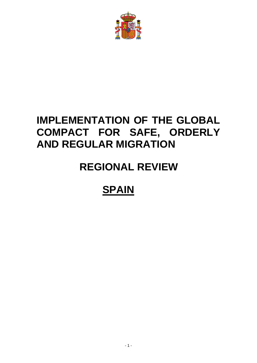

## **IMPLEMENTATION OF THE GLOBAL COMPACT FOR SAFE, ORDERLY AND REGULAR MIGRATION**

# **REGIONAL REVIEW**

# **SPAIN**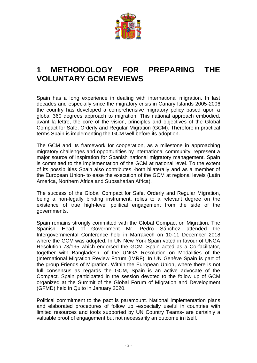

#### **1 METHODOLOGY FOR PREPARING THE VOLUNTARY GCM REVIEWS**

Spain has a long experience in dealing with international migration. In last decades and especially since the migratory crisis in Canary Islands 2005-2006 the country has developed a comprehensive migratory policy based upon a global 360 degrees approach to migration. This national approach embodied, avant la lettre, the core of the vision, principles and objectives of the Global Compact for Safe, Orderly and Regular Migration (GCM). Therefore in practical terms Spain is implementing the GCM well before its adoption.

The GCM and its framework for cooperation, as a milestone in approaching migratory challenges and opportunities by international community, represent a major source of inspiration for Spanish national migratory management. Spain is committed to the implementation of the GCM at national level. To the extent of its possibilities Spain also contributes -both bilaterally and as a member of the European Union- to ease the execution of the GCM at regional levels (Latin America, Northern Africa and Subsaharian Africa).

The success of the Global Compact for Safe, Orderly and Regular Migration, being a non-legally binding instrument, relies to a relevant degree on the existence of true high-level political engagement from the side of the governments.

Spain remains strongly committed with the Global Compact on Migration. The Spanish Head of Government Mr. Pedro Sánchez attended the Intergovernmental Conference held in Marrakech on 10-11 December 2018 where the GCM was adopted. In UN New York Spain voted in favour of UNGA Resolution 73/195 which endorsed the GCM. Spain acted as a Co-facilitator, together with Bangladesh, of the UNGA Resolution on Modalities of the (International Migration Review Forum (IMRF). In UN Genève Spain is part of the group Friends of Migration. Within the European Union, where there is not full consensus as regards the GCM, Spain is an active advocate of the Compact. Spain participated in the session devoted to the follow up of GCM organized at the Summit of the Global Forum of Migration and Development (GFMD) held in Quito in January 2020.

Political commitment to the pact is paramount. National implementation plans and elaborated procedures of follow up -especially useful in countries with limited resources and tools supported by UN Country Teams- are certainly a valuable proof of engagement but not necessarily an outcome in itself.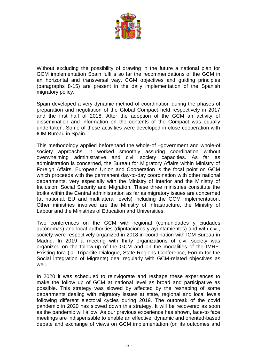

Without excluding the possibility of drawing in the future a national plan for GCM implementation Spain fulfills so far the recommendations of the GCM in an horizontal and transversal way. CGM objectives and guiding principles (paragraphs 8-15) are present in the daily implementation of the Spanish migratory policy.

Spain developed a very dynamic method of coordination during the phases of preparation and negotiation of the Global Compact held respectively in 2017 and the first half of 2018. After the adoption of the GCM an activity of dissemination and information on the contents of the Compact was equally undertaken. Some of these activities were developed in close cooperation with IOM Bureau in Spain.

This methodology applied beforehand the whole-of –government and whole-of society approachs. It worked smoothly assuring coordination without overwhelming administrative and civil society capacities. As far as administration is concerned, the Bureau for Migratory Affairs within Ministry of Foreign Affairs, European Union and Cooperation is the focal point on GCM which proceeds with the permanent day-to-day coordination with other national departments, very especially with the Ministry of Interior and the Ministry of Inclusion, Social Security and Migration. These three ministries constitute the troika within the Central administration as far as migratory issues are concerned (at national, EU and multilateral levels) including the GCM implementation. Other ministries involved are the Ministry of Infrastructure, the Ministry of Labour and the Ministries of Education and Universities.

Two conferences on the GCM with regional (comunidades y ciudades autónomas) and local authorities (diputaciones y ayuntamientos) and with civil, society were respectively organized in 2018 in coordination with IOM Bureau in Madrid. In 2019 a meeting with thirty organizations of civil society was organized on the follow-up of the GCM and on the modalities of the IMRF. Existing fora (ia. Tripartite Dialogue, State-Regions Conference, Forum for the Social integration of Migrants) deal regularly with GCM-related objectives as well.

In 2020 it was scheduled to reinvigorate and reshape these experiences to make the follow up of GCM at national level as broad and participative as possible. This strategy was slowed by affected by the reshaping of some departments dealing with migratory issues at state, regional and local levels following different electoral cycles during 2019. The outbreak of the covid pandemic in 2020 has slowed down this strategy. It will be recovered as soon as the pandemic will allow. As our previous experience has shown, face-to face meetings are indispensable to enable an effective, dynamic and oriented-based debate and exchange of views on GCM implementation (on its outcomes and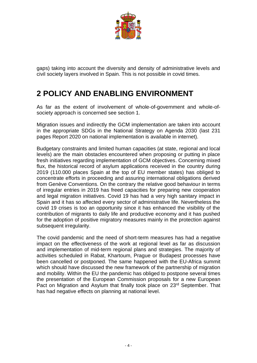

gaps) taking into account the diversity and density of administrative levels and civil society layers involved in Spain. This is not possible in covid times.

## **2 POLICY AND ENABLING ENVIRONMENT**

As far as the extent of involvement of whole-of-government and whole-ofsociety approach is concerned see section 1.

Migration issues and indirectly the GCM implementation are taken into account in the appropriate SDGs in the National Strategy on Agenda 2030 (last 231 pages Report 2020 on national implementation is available in internet).

Budgetary constraints and limited human capacities (at state, regional and local levels) are the main obstacles encountered when proposing or putting in place fresh initiatives regarding implementation of GCM objectives. Concerning mixed flux, the historical record of asylum applications received in the country during 2019 (110.000 places Spain at the top of EU member states) has obliged to concentrate efforts in proceeding and assuring international obligations derived from Genève Conventions. On the contrary the relative good behaviour in terms of irregular entries in 2019 has freed capacities for preparing new cooperation and legal migration initiatives. Covid 19 has had a very high sanitary impact in Spain and it has so affected every sector of administrative life. Nevertheless the covid 19 crises is too an opportunity since it has enhanced the visibility of the contribution of migrants to daily life and productive economy and it has pushed for the adoption of positive migratory measures mainly in the protection against subsequent irregularity.

The covid pandemic and the need of short-term measures has had a negative impact on the effectiveness of the work at regional level as far as discussion and implementation of mid-term regional plans and strategies. The majority of activities scheduled in Rabat, Khartoum, Prague or Budapest processes have been cancelled or postponed. The same happened with the EU-Africa summit which should have discussed the new framework of the partnership of migration and mobility. Within the EU the pandemic has obliged to postpone several times the presentation of the European Commission proposals for a new European Pact on Migration and Asylum that finally took place on 23<sup>rd</sup> September. That has had negative effects on planning at national level.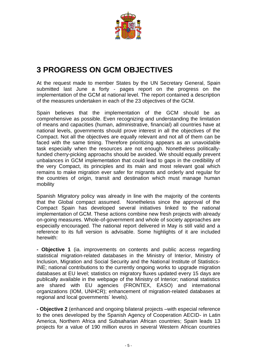

## **3 PROGRESS ON GCM OBJECTIVES**

At the request made to member States by the UN Secretary General, Spain submitted last June a forty - pages report on the progress on the implementation of the GCM at national level. The report contained a description of the measures undertaken in each of the 23 objectives of the GCM.

Spain believes that the implementation of the GCM should be as comprehensive as possible. Even recognizing and understanding the limitation of means and capacities (human, administrative, financial) all countries have at national levels, governments should prove interest in all the objectives of the Compact. Not all the objectives are equally relevant and not all of them can be faced with the same timing. Therefore prioritizing appears as an unavoidable task especially when the resources are not enough. Nonetheless politicallyfunded cherry-picking approachs should be avoided. We should equally prevent unbalances in GCM implementation that could lead to gaps in the credibility of the very Compact, its principles and its main and most relevant goal which remains to make migration ever safer for migrants and orderly and regular for the countries of origin, transit and destination which must manage human mobility

Spanish Migratory policy was already in line with the majority of the contents that the Global compact assumed. Nonetheless since the approval of the Compact Spain has developed several initiatives linked to the national implementation of GCM. These actions combine new fresh projects with already on-going measures. Whole-of-government and whole of society approaches are especially encouraged. The national report delivered in May is still valid and a reference to its full version is advisable. Some highlights of it are included herewith:

**- Objective 1** (ia. improvements on contents and public access regarding statistical migration-related databases in the Ministry of Interior, Ministry of Inclusion, Migration and Social Security and the National Institute of Statistics-INE; national contributions to the currently ongoing works to upgrade migration databases at EU level; statistics on migratory fluxes updated every 15 days are publically available in the webpage of the Ministry of Interior; national statistics are shared with EU agencies (FRONTEX, EASO) and international organizations (IOM, UNHCR); enhancement of migration-related databases at regional and local governments´ levels).

**- Objective 2** (enhanced and ongoing bilateral projects –with especial reference to the ones developed by the Spanish Agency of Cooperation AECID- in Latin America, Northern Africa and Subsaharian African countries; Spain leads 13 projects for a value of 190 million euros in several Western African countries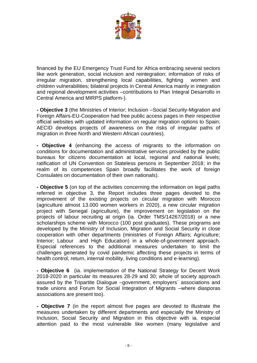

financed by the EU Emergency Trust Fund for Africa embracing several sectors like work generation, social inclusion and reintegration; information of risks of irregular migration, strengthening local capabilities, fighting women and children vulnerabilities; bilateral projects in Central America mainly in integration and regional development activities –contributions to Plan Integral Desarrollo in Central America and MIRPS platform-).

**- Objective 3** (the Ministries of Interior; Inclusion –Social Security-Migration and Foreign Affairs-EU-Cooperation had free public access pages in their respective official websites with updated information on regular migration options to Spain; AECID develops projects of awareness on the risks of irregular paths of migration in three North and Western African countries).

**- Objective 4** (enhancing the access of migrants to the information on conditions for documentation and administrative services provided by the public bureaus for citizens documentation at local, regional and national levels; ratification of UN Convention on Stateless persons in September 2018; in the realm of its competences Spain broadly facilitates the work of foreign Consulates on documentation of their own nationals).

**- Objective 5** (on top of the activities concerning the information on legal paths referred in objective 3, the Report includes three pages devoted to the improvement of the existing projects on circular migration with Morocco (agriculture almost 13.000 women workers in 2020), a new circular migration project with Senegal (agriculture), the improvement on legislation on the projects of labour recruiting at origin (ia. Order TMS/14267/2018) or a new scholarships scheme with Morocco (100 post graduates). These programs are developed by the Ministry of Inclusion, Migration and Social Security in close cooperation with other departments (ministries of Foreign Affairs; Agriculture; Interior; Labour and High Education) in a whole-of-government approach. Especial references to the additional measures undertaken to limit the challenges generated by covid pandemic affecting these projects in terms of health control, return, internal mobility, living conditions and e-learning).

**- Objective 6** (ia. implementation of the National Strategy for Decent Work 2018-2020 in particular its measures 28-29 and 30; whole of society approach assured by the Tripartite Dialogue –government, employers´ associations and trade unions and Forum for Social Integration of Migrants –where diasporas associations are present too).

**- Objective 7** (in the report almost five pages are devoted to illustrate the measures undertaken by different departments and especially the Ministry of Inclusion, Social Security and Migration in this objective with ia. especial attention paid to the most vulnerable like women (many legislative and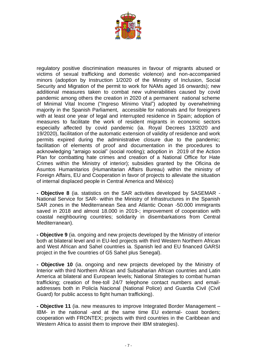

regulatory positive discrimination measures in favour of migrants abused or victims of sexual trafficking and domestic violence) and non-accompanied minors (adoption by Instruction 1/2020 of the Ministry of Inclusion, Social Security and Migration of the permit to work for NAMs aged 16 onwards); new additional measures taken to combat new vulnerabilities caused by covid pandemic among others the creation in 2020 of a permanent national scheme of Minimal Vital Income ("Ingreso Mínimo Vital") adopted by overwhelming majority in the Spanish Parliament, accessible for nationals and for foreigners with at least one year of legal and interrupted residence in Spain; adoption of measures to facilitate the work of resident migrants in economic sectors especially affected by covid pandemic (ia. Royal Decrees 13/2020 and 19/2020), facilitation of the automatic extension of validity of residence and work permits expired during the administrative closure due to the pandemic; facilitation of elements of proof and documentation in the procedures to acknowledging "arraigo social" (social rooting); adoption in 2019 of the Action Plan for combatting hate crimes and creation of a National Office for Hate Crimes within the Ministry of interior); subsidies granted by the Oficina de Asuntos Humanitarios (Humanitarian Affairs Bureau) within the ministry of Foreign Affairs, EU and Cooperation in favor of projects to alleviate the situation of internal displaced people in Central America and México)

**- Objective 8** (ia. statistics on the SAR activities developed by SASEMAR - National Service for SAR- within the Ministry of Infrastructures in the Spanish SAR zones in the Mediterranean Sea and Atlantic Ocean -50.000 immigrants saved in 2018 and almost 18.000 in 2019-; improvement of cooperation with coastal neighbouring countries; solidarity in disembarkations from Central Mediterranean).

**- Objective 9** (ia. ongoing and new projects developed by the Ministry of interior both at bilateral level and in EU-led projects with third Western Northern African and West African and Sahel countries ia. Spanish led and EU financed GARSI project in the five countries of G5 Sahel plus Senegal).

**- Objective 10** (ia. ongoing and new projects developed by the Ministry of Interior with third Northern African and Subsaharian African countries and Latin America at bilateral and European levels; National Strategies to combat human trafficking; creation of free-toll 24/7 telephone contact numbers and emailaddresses both in Policía Nacional (National Police) and Guardia Civil (Civil Guard) for public access to fight human trafficking).

**- Objective 11** (ia. new measures to improve Integrated Border Management – IBM- in the national -and at the same time EU external- coast borders; cooperation with FRONTEX; projects with third countries in the Caribbean and Western Africa to assist them to improve their IBM strategies).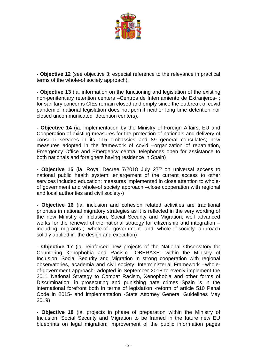

**- Objective 12** (see objective 3; especial reference to the relevance in practical terms of the whole-of society approach).

**- Objective 13** (ia. information on the functioning and legislation of the existing non-penitentiary retention centers –Centros de Internamiento de Extranjeros- ; for sanitary concerns CIEs remain closed and empty since the outbreak of covid pandemic; national legislation does not permit neither long time detention nor closed uncommunicated detention centers).

**- Objective 14** (ia. implementation by the Ministry of Foreign Affairs, EU and Cooperation of existing measures for the protection of nationals and delivery of consular services in its 115 embassies and 89 general consulates; new measures adopted in the framework of covid –organization of repatriation, Emergency Office and Emergency central telephones open for assistance to both nationals and foreigners having residence in Spain)

- **Objective 15** (ia. Royal Decree 7/2018 July 27<sup>th</sup> on universal access to national public health system; enlargement of the current access to other services included education; measures implemented in close attention to wholeof government and whole-of society approach –close cooperation with regional and local authorities and civil society-)

**- Objective 16** (ia. inclusion and cohesion related activities are traditional priorities in national migratory strategies as it is reflected in the very wording of the new Ministry of Inclusion, Social Security and Migration; well advanced works for the renewal of the national strategy for citizenship and integration – including migrants-; whole-of- government and whole-of-society approach solidly applied in the design and execution)

**- Objective 17** (ia. reinforced new projects of the National Observatory for Countering Xenophobia and Racism –OBERAXE- within the Ministry of Inclusion, Social Security and Migration in strong cooperation with regional observatories, academia and civil society; Interministerial Framework –wholeof-government approach- adopted in September 2018 to evenly implement the 2011 National Strategy to Combat Racism, Xenophobia and other forms of Discrimination; in prosecuting and punishing hate crimes Spain is in the international forefront both in terms of legislation -reform of article 510 Penal Code in 2015- and implementation -State Attorney General Guidelines May 2019)

**- Objective 18** (ia. projects in phase of preparation within the Ministry of Inclusion, Social Security and Migration to be framed in the future new EU blueprints on legal migration; improvement of the public information pages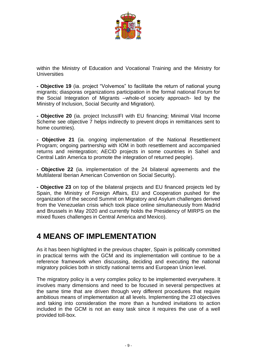

within the Ministry of Education and Vocational Training and the Ministry for **Universities** 

**- Objective 19** (ia. project "Volvemos" to facilitate the return of national young migrants; diasporas organizations participation in the formal national Forum for the Social Integration of Migrants –whole-of society approach- led by the Ministry of Inclusion, Social Security and Migration).

**- Objective 20** (ia. project InclussIFI with EU financing; Minimal Vital Income Scheme see objective 7 helps indirectly to prevent drops in remittances sent to home countries).

**- Objective 21** (ia. ongoing implementation of the National Resettlement Program; ongoing partnership with IOM in both resettlement and accompanied returns and reintegration; AECID projects in some countries in Sahel and Central Latin America to promote the integration of returned people).

**- Objective 22** (ia. implementation of the 24 bilateral agreements and the Multilateral Iberian American Convention on Social Security).

**- Objective 23** on top of the bilateral projects and EU financed projects led by Spain, the Ministry of Foreign Affairs, EU and Cooperation pushed for the organization of the second Summit on Migratory and Asylum challenges derived from the Venezuelan crisis which took place online simultaneously from Madrid and Brussels in May 2020 and currently holds the Presidency of MIRPS on the mixed fluxes challenges in Central America and Mexico).

#### **4 MEANS OF IMPLEMENTATION**

As it has been highlighted in the previous chapter, Spain is politically committed in practical terms with the GCM and its implementation will continue to be a reference framework when discussing, deciding and executing the national migratory policies both in strictly national terms and European Union level.

The migratory policy is a very complex policy to be implemented everywhere. It involves many dimensions and need to be focused in several perspectives at the same time that are driven through very different procedures that require ambitious means of implementation at all levels. Implementing the 23 objectives and taking into consideration the more than a hundred invitations to action included in the GCM is not an easy task since it requires the use of a well provided toll-box.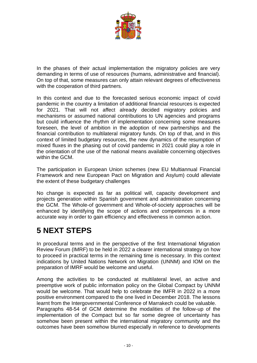

In the phases of their actual implementation the migratory policies are very demanding in terms of use of resources (humans, administrative and financial). On top of that, some measures can only attain relevant degrees of effectiveness with the cooperation of third partners.

In this context and due to the forecasted serious economic impact of covid pandemic in the country a limitation of additional financial resources is expected for 2021. That will not affect already decided migratory policies and mechanisms or assumed national contributions to UN agencies and programs but could influence the rhythm of implementation concerning some measures foreseen, the level of ambition in the adoption of new partnerships and the financial contribution to multilateral migratory funds. On top of that, and in this context of limited budgetary resources, the new dynamics of the resumption of mixed fluxes in the phasing out of covid pandemic in 2021 could play a role in the orientation of the use of the national means available concerning objectives within the GCM.

The participation in European Union schemes (new EU Multiannual Financial Framework and new European Pact on Migration and Asylum) could alleviate the extent of these budgetary challenges

No change is expected as far as political will, capacity development and projects generation within Spanish government and administration concerning the GCM. The Whole-of government and Whole-of-society approaches will be enhanced by identifying the scope of actions and competences in a more accurate way in order to gain efficiency and effectiveness in common action.

#### **5 NEXT STEPS**

In procedural terms and in the perspective of the first International Migration Review Forum (IMRF) to be held in 2022 a clearer international strategy on how to proceed in practical terms in the remaining time is necessary. In this context indications by United Nations Network on Migration (UNNM) and IOM on the preparation of IMRF would be welcome and useful.

Among the activities to be conducted at multilateral level, an active and preemptive work of public information policy on the Global Compact by UNNM would be welcome. That would help to celebrate the IMFR in 2022 in a more positive environment compared to the one lived in December 2018. The lessons learnt from the Intergovernmental Conference of Marrakech could be valuable. Paragraphs 48-54 of GCM determine the modalities of the follow-up of the implementation of the Compact but so far some degree of uncertainty has somehow been present within the international migratory community and the outcomes have been somehow blurred especially in reference to developments